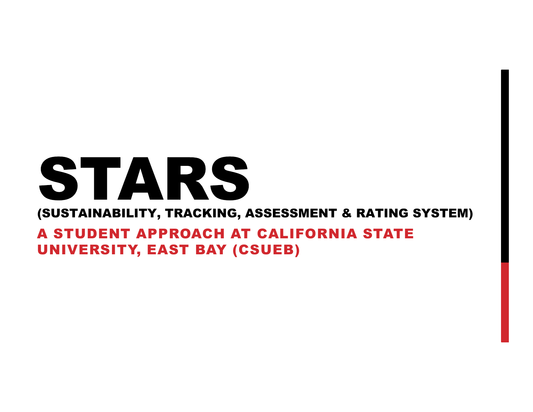# STARS

#### (SUSTAINABILITY, TRACKING, ASSESSMENT & RATING SYSTEM)

### A STUDENT APPROACH AT CALIFORNIA STATE UNIVERSITY, EAST BAY (CSUEB)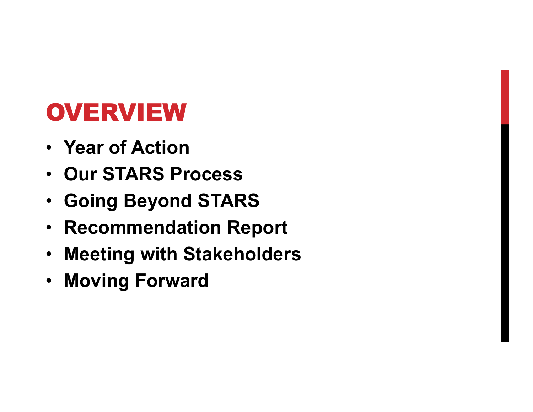### **OVERVIEW**

- Year of Action
- Our STARS Process
- Going Beyond STARS
- Recommendation Report
- Meeting with Stakeholders
- Moving Forward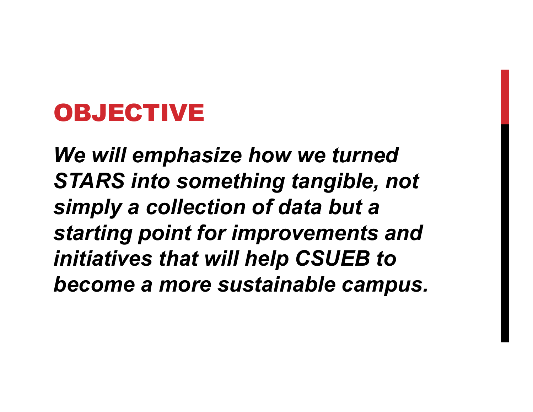### **OBJECTIVE**

We will emphasize how we turned STARS into something tangible, not simply a collection of data but a starting point for improvements and initiatives that will help CSUEB to become a more sustainable campus.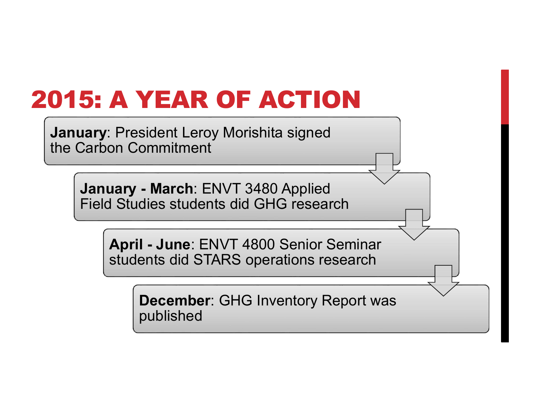## 2015: A YEAR OF ACTION

**015: A YEAR OF ACTION**<br>January: President Leroy Morishita signed<br>the Carbon Commitment the Carbon Commitment

5: A YEAR OF ACTION<br>
Jany: President Leroy Morishita signed<br>
Danuary - March: ENVT 3480 Applied<br>
Field Studies students did GHG research Field Studies students did GHG research

**A YEAR OF ACTION**<br>
President Leroy Morishita signed<br>
Jary - March: ENVT 3480 Applied<br>
Studies students did GHG research<br>
April - June: ENVT 4800 Senior Seminar<br>
students did STARS operations research students did STARS operations research

December: GHG Inventory Report was published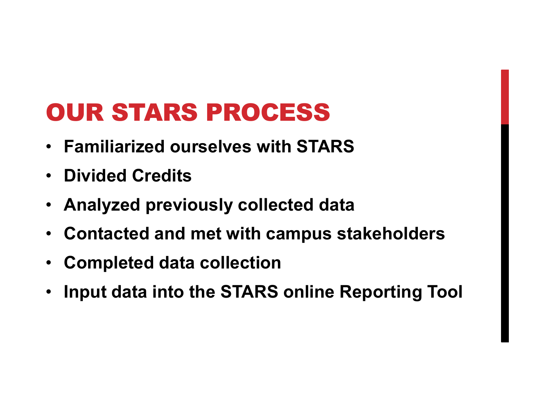# OUR STARS PROCESS

- Familiarized ourselves with STARS
- Divided Credits
- Analyzed previously collected data
- Contacted and met with campus stakeholders
- Completed data collection
- Input data into the STARS online Reporting Tool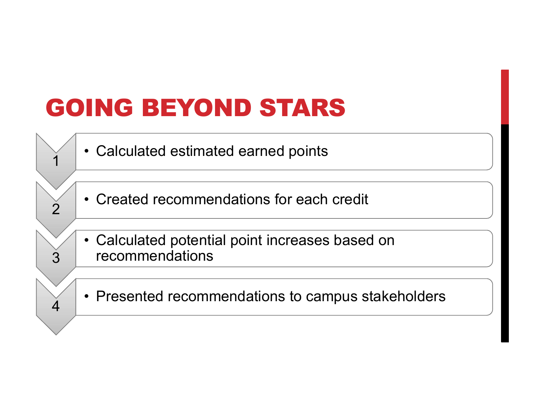# GOING BEYOND STARS ING BEYOND STARS<br>• Calculated estimated earned points ING BEYOND STARS<br>• Calculated estimated earned points<br>• Created recommendations for each credit<br>• Calculated potential point increases based on

- Calculated estimated earned points
- $\gamma$   $\sim$   $\sim$  Created recommendations for each credit
- 3 ecommendations **ING BEYOND STARS**<br>• Calculated estimated earned points<br>• Created recommendations for each credit<br>• Calculated potential point increases based on recommendations • Calculated estimated earned points<br>• Created recommendations for each credit<br>• Calculated potential point increases based on<br>• Presented recommendations to campus stakeholders
- $\gamma$   $\sim$   $\mid$   $\cdot$  Presented recommendations to campus stakeholders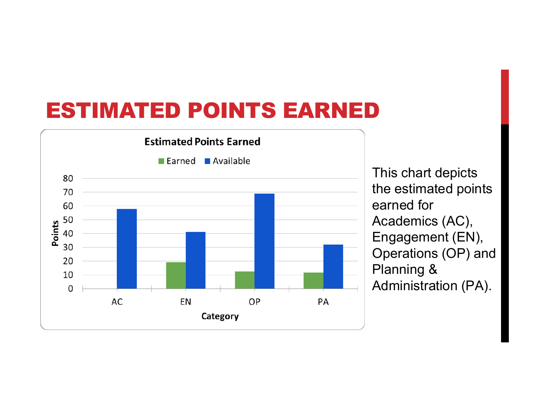### ESTIMATED POINTS EARNED



This chart depicts the estimated points earned for Academics (AC), Engagement (EN), Operations (OP) and Planning & Administration (PA).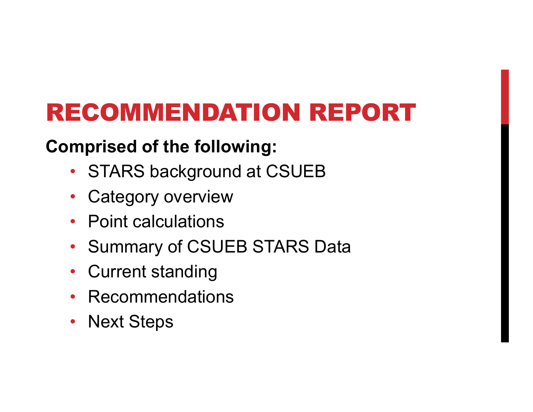## RECOMMENDATION REPORT

### Comprised of the following:

- STARS background at CSUEB
- Category overview
- Point calculations
- Summary of CSUEB STARS Data
- **Current standing**
- **Recommendations**
- Next Steps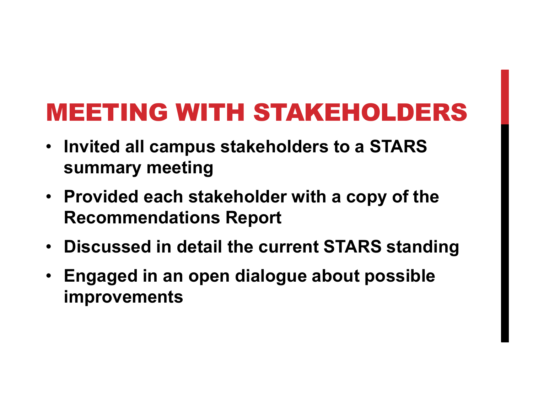### MEETING WITH STAKEHOLDERS

- Invited all campus stakeholders to a STARS summary meeting
- Provided each stakeholder with a copy of the Recommendations Report
- Discussed in detail the current STARS standing
- Engaged in an open dialogue about possible improvements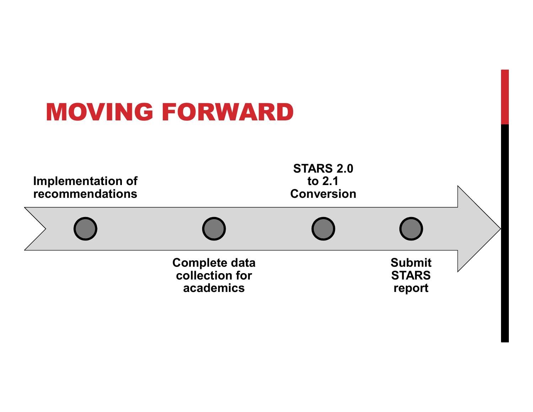### MOVING FORWARD